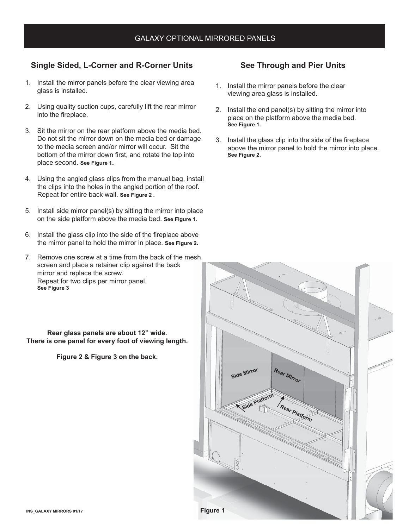## **Single Sided, L-Corner and R-Corner Units**

- 1. Install the mirror panels before the clear viewing area glass is installed.
- 2. Using quality suction cups, carefully lift the rear mirror into the fireplace.
- 3. Sit the mirror on the rear platform above the media bed. Do not sit the mirror down on the media bed or damage to the media screen and/or mirror will occur. Sit the bottom of the mirror down first, and rotate the top into place second. **See Figure 1.**
- 4. Using the angled glass clips from the manual bag, install the clips into the holes in the angled portion of the roof. Repeat for entire back wall. **See Figure 2 .**
- 5. Install side mirror panel(s) by sitting the mirror into place on the side platform above the media bed. **See Figure 1.**
- 6. Install the glass clip into the side of the fireplace above the mirror panel to hold the mirror in place. **See Figure 2.**
- 7. Remove one screw at a time from the back of the mesh screen and place a retainer clip against the back mirror and replace the screw. Repeat for two clips per mirror panel. **See Figure 3**

**Rear glass panels are about 12" wide. There is one panel for every foot of viewing length.**

**Figure 2 & Figure 3 on the back.** 

## **See Through and Pier Units**

- 1. Install the mirror panels before the clear viewing area glass is installed.
- 2. Install the end panel(s) by sitting the mirror into place on the platform above the media bed. **See Figure 1.**
- 3. Install the glass clip into the side of the fireplace above the mirror panel to hold the mirror into place. **See Figure 2.**